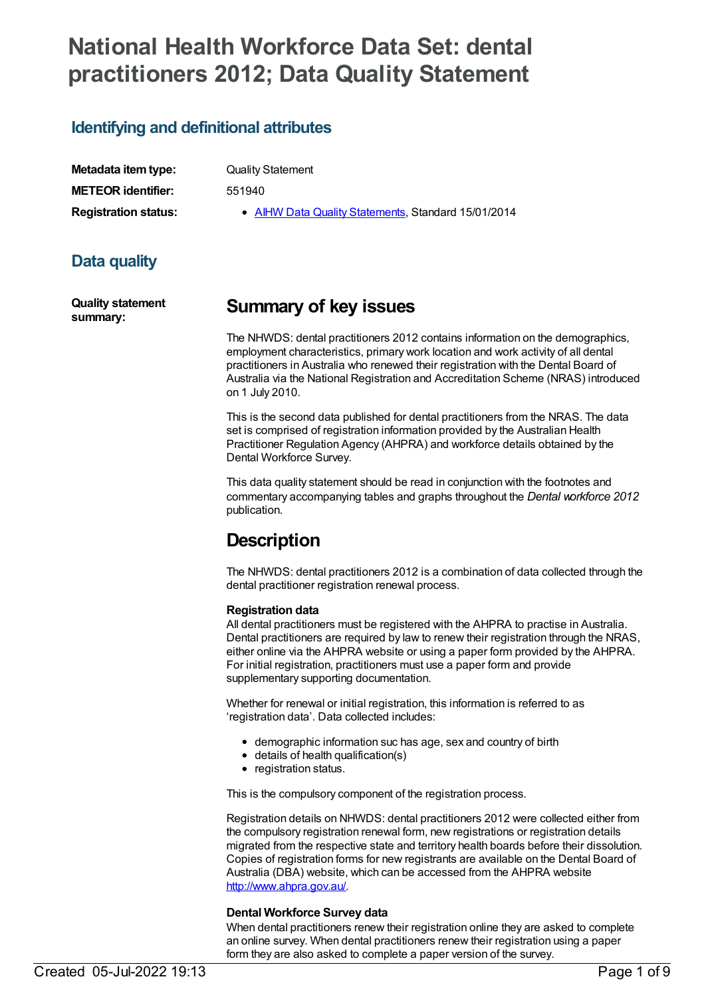# **National Health Workforce Data Set: dental practitioners 2012; Data Quality Statement**

### **Identifying and definitional attributes**

| Metadata item type:         |
|-----------------------------|
| <b>METEOR identifier:</b>   |
| <b>Registration status:</b> |

**Quality Statement** 

**METEOR identifier:** 551940

**AIHW Data Quality [Statements](https://meteor.aihw.gov.au/RegistrationAuthority/5), Standard 15/01/2014** 

# **Data quality**

**Quality statement summary:**

# **Summary of key issues**

The NHWDS: dental practitioners 2012 contains information on the demographics, employment characteristics, primary work location and work activity of all dental practitioners in Australia who renewed their registration with the Dental Board of Australia via the National Registration and Accreditation Scheme (NRAS) introduced on 1 July 2010.

This is the second data published for dental practitioners from the NRAS. The data set is comprised of registration information provided by the Australian Health Practitioner Regulation Agency (AHPRA) and workforce details obtained by the Dental Workforce Survey.

This data quality statement should be read in conjunction with the footnotes and commentary accompanying tables and graphs throughout the *Dental workforce 2012* publication.

# **Description**

The NHWDS: dental practitioners 2012 is a combination of data collected through the dental practitioner registration renewal process.

#### **Registration data**

All dental practitioners must be registered with the AHPRA to practise in Australia. Dental practitioners are required by law to renew their registration through the NRAS, either online via the AHPRA website or using a paper form provided by the AHPRA. For initial registration, practitioners must use a paper form and provide supplementary supporting documentation.

Whether for renewal or initial registration, this information is referred to as 'registration data'. Data collected includes:

- demographic information suc has age, sex and country of birth
- details of health qualification(s)
- registration status.

This is the compulsory component of the registration process.

Registration details on NHWDS: dental practitioners 2012 were collected either from the compulsory registration renewal form, new registrations or registration details migrated from the respective state and territory health boards before their dissolution. Copies of registration forms for new registrants are available on the Dental Board of Australia (DBA) website, which can be accessed from the AHPRA website <http://www.ahpra.gov.au/>.

#### **Dental Workforce Survey data**

When dental practitioners renew their registration online they are asked to complete an online survey. When dental practitioners renew their registration using a paper form they are also asked to complete a paper version of the survey.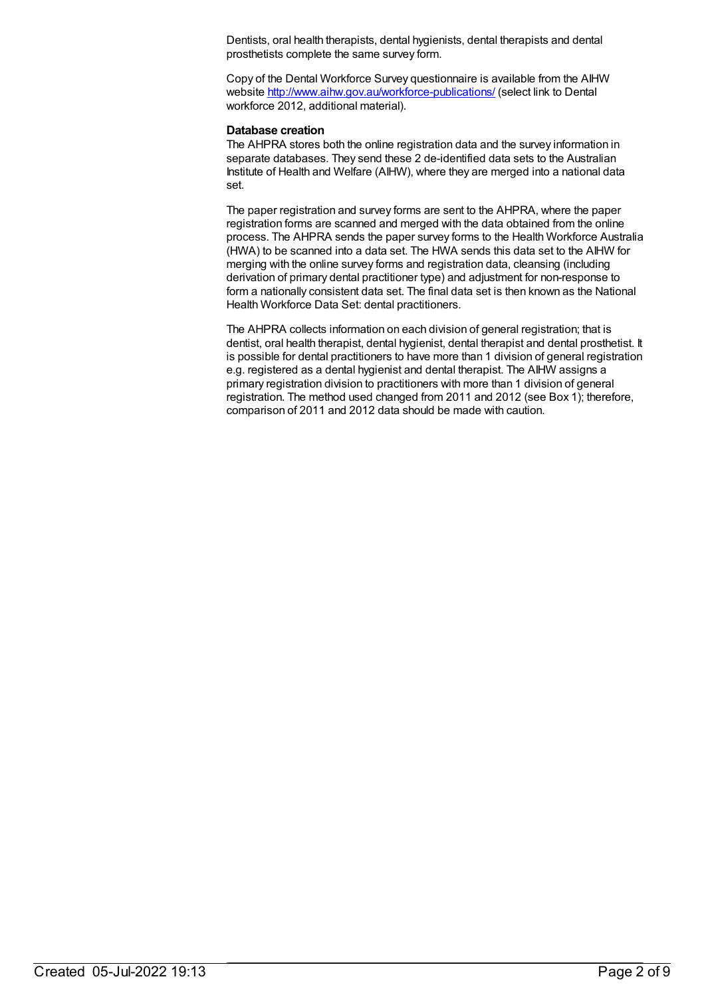Dentists, oral health therapists, dental hygienists, dental therapists and dental prosthetists complete the same survey form.

Copy of the Dental Workforce Survey questionnaire is available from the AIHW website <http://www.aihw.gov.au/workforce-publications/> (select link to Dental workforce 2012, additional material).

#### **Database creation**

The AHPRA stores both the online registration data and the survey information in separate databases. They send these 2 de-identified data sets to the Australian Institute of Health and Welfare (AIHW), where they are merged into a national data set.

The paper registration and survey forms are sent to the AHPRA, where the paper registration forms are scanned and merged with the data obtained from the online process. The AHPRA sends the paper survey forms to the Health Workforce Australia (HWA) to be scanned into a data set. The HWA sends this data set to the AIHW for merging with the online survey forms and registration data, cleansing (including derivation of primary dental practitioner type) and adjustment for non-response to form a nationally consistent data set. The final data set is then known as the National Health Workforce Data Set: dental practitioners.

The AHPRA collects information on each division of general registration; that is dentist, oral health therapist, dental hygienist, dental therapist and dental prosthetist. It is possible for dental practitioners to have more than 1 division of general registration e.g. registered as a dental hygienist and dental therapist. The AIHW assigns a primary registration division to practitioners with more than 1 division of general registration. The method used changed from 2011 and 2012 (see Box 1); therefore, comparison of 2011 and 2012 data should be made with caution.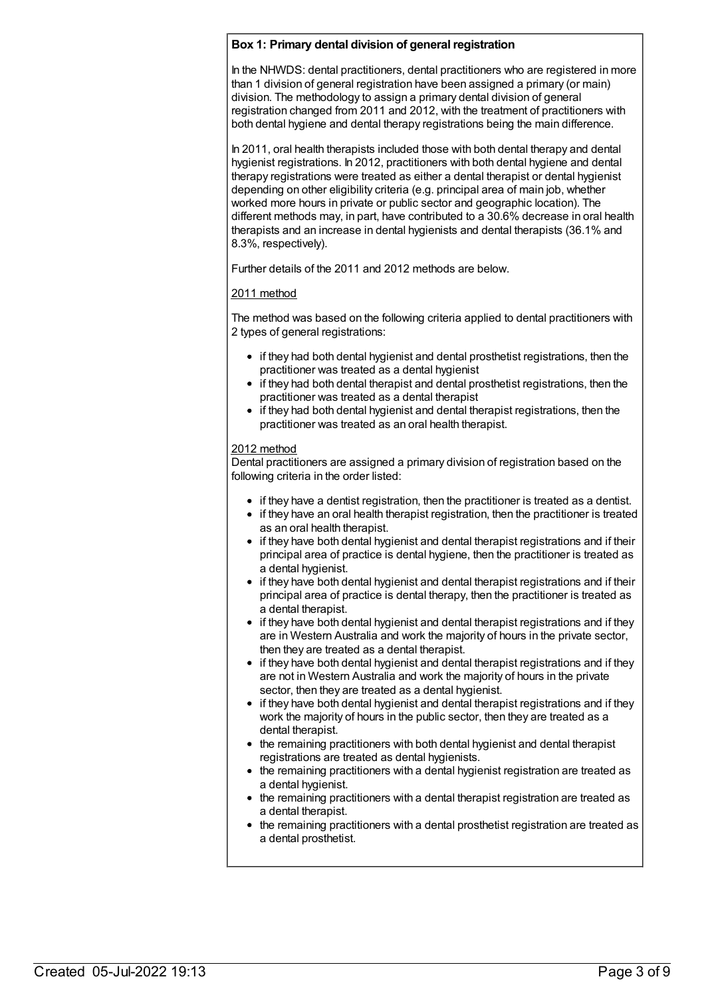#### **Box 1: Primary dental division of general registration**

In the NHWDS: dental practitioners, dental practitioners who are registered in more than 1 division of general registration have been assigned a primary (or main) division. The methodology to assign a primary dental division of general registration changed from 2011 and 2012, with the treatment of practitioners with both dental hygiene and dental therapy registrations being the main difference.

In 2011, oral health therapists included those with both dental therapy and dental hygienist registrations. In 2012, practitioners with both dental hygiene and dental therapy registrations were treated as either a dental therapist or dental hygienist depending on other eligibility criteria (e.g. principal area of main job, whether worked more hours in private or public sector and geographic location). The different methods may, in part, have contributed to a 30.6% decrease in oral health therapists and an increase in dental hygienists and dental therapists (36.1% and 8.3%, respectively).

Further details of the 2011 and 2012 methods are below.

#### 2011 method

The method was based on the following criteria applied to dental practitioners with 2 types of general registrations:

- if they had both dental hygienist and dental prosthetist registrations, then the practitioner was treated as a dental hygienist
- if they had both dental therapist and dental prosthetist registrations, then the practitioner was treated as a dental therapist
- if they had both dental hygienist and dental therapist registrations, then the practitioner was treated as an oral health therapist.

#### 2012 method

Dental practitioners are assigned a primary division of registration based on the following criteria in the order listed:

- if they have a dentist registration, then the practitioner is treated as a dentist.
- if they have an oral health therapist registration, then the practitioner is treated as an oral health therapist.
- if they have both dental hygienist and dental therapist registrations and if their principal area of practice is dental hygiene, then the practitioner is treated as a dental hygienist.
- if they have both dental hygienist and dental therapist registrations and if their principal area of practice is dental therapy, then the practitioner is treated as a dental therapist.
- if they have both dental hygienist and dental therapist registrations and if they are in Western Australia and work the majority of hours in the private sector, then they are treated as a dental therapist.
- if they have both dental hygienist and dental therapist registrations and if they are not in Western Australia and work the majority of hours in the private sector, then they are treated as a dental hygienist.
- if they have both dental hygienist and dental therapist registrations and if they work the majority of hours in the public sector, then they are treated as a dental therapist.
- the remaining practitioners with both dental hygienist and dental therapist registrations are treated as dental hygienists.
- the remaining practitioners with a dental hygienist registration are treated as a dental hygienist.
- the remaining practitioners with a dental therapist registration are treated as a dental therapist.
- the remaining practitioners with a dental prosthetist registration are treated as a dental prosthetist.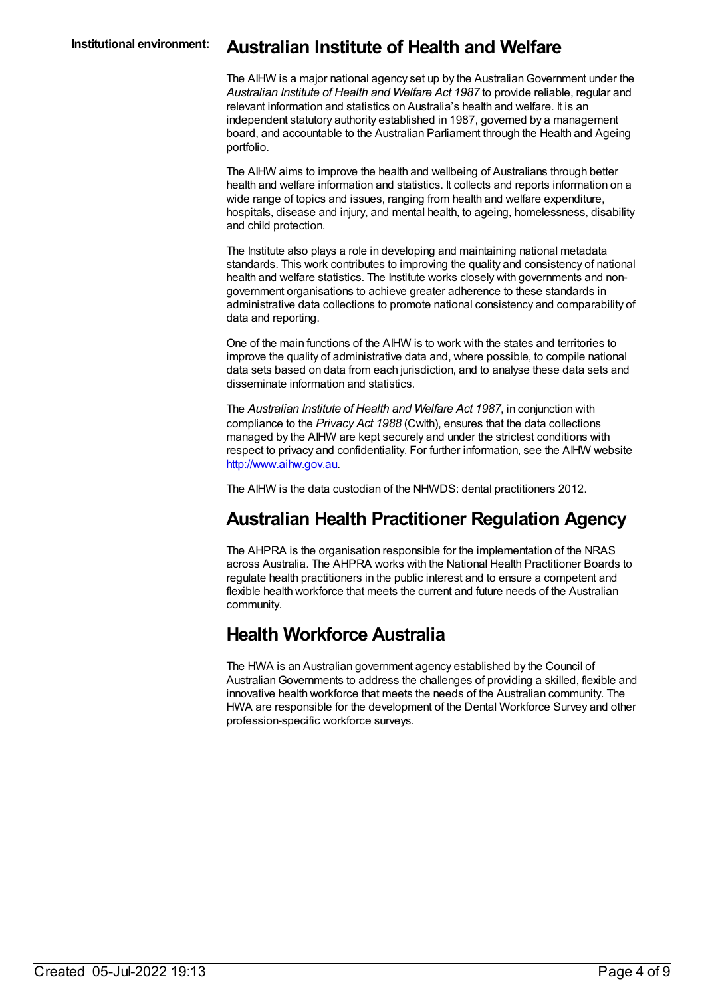### **Institutional environment: Australian Institute of Health and Welfare**

The AIHW is a major national agency set up by the AustralianGovernment under the *Australian Institute of Health and Welfare Act 1987* to provide reliable, regular and relevant information and statistics on Australia's health and welfare. It is an independent statutory authority established in 1987, governed by a management board, and accountable to the Australian Parliament through the Health and Ageing portfolio.

The AIHW aims to improve the health and wellbeing of Australians through better health and welfare information and statistics. It collects and reports information on a wide range of topics and issues, ranging from health and welfare expenditure, hospitals, disease and injury, and mental health, to ageing, homelessness, disability and child protection.

The Institute also plays a role in developing and maintaining national metadata standards. This work contributes to improving the quality and consistency of national health and welfare statistics. The Institute works closely with governments and nongovernment organisations to achieve greater adherence to these standards in administrative data collections to promote national consistency and comparability of data and reporting.

One of the main functions of the AIHW is to work with the states and territories to improve the quality of administrative data and, where possible, to compile national data sets based on data from each jurisdiction, and to analyse these data sets and disseminate information and statistics.

The *Australian Institute of Health and Welfare Act 1987*, in conjunction with compliance to the *Privacy Act 1988* (Cwlth), ensures that the data collections managed by the AIHW are kept securely and under the strictest conditions with respect to privacy and confidentiality. For further information, see the AIHW website <http://www.aihw.gov.au>.

The AIHW is the data custodian of the NHWDS: dental practitioners 2012.

# **Australian Health Practitioner Regulation Agency**

The AHPRA is the organisation responsible for the implementation of the NRAS across Australia. The AHPRA works with the National Health Practitioner Boards to regulate health practitioners in the public interest and to ensure a competent and flexible health workforce that meets the current and future needs of the Australian community.

# **Health Workforce Australia**

The HWA is an Australian government agency established by the Council of AustralianGovernments to address the challenges of providing a skilled, flexible and innovative health workforce that meets the needs of the Australian community. The HWA are responsible for the development of the Dental Workforce Survey and other profession-specific workforce surveys.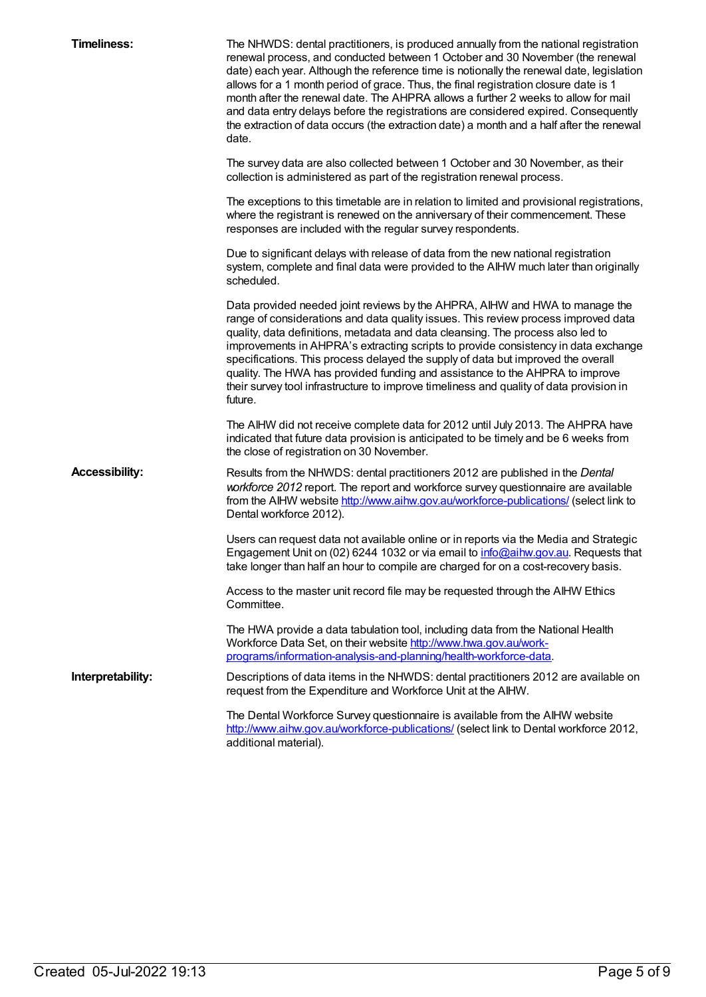| <b>Timeliness:</b>    | The NHWDS: dental practitioners, is produced annually from the national registration<br>renewal process, and conducted between 1 October and 30 November (the renewal<br>date) each year. Although the reference time is notionally the renewal date, legislation<br>allows for a 1 month period of grace. Thus, the final registration closure date is 1<br>month after the renewal date. The AHPRA allows a further 2 weeks to allow for mail<br>and data entry delays before the registrations are considered expired. Consequently<br>the extraction of data occurs (the extraction date) a month and a half after the renewal<br>date. |
|-----------------------|---------------------------------------------------------------------------------------------------------------------------------------------------------------------------------------------------------------------------------------------------------------------------------------------------------------------------------------------------------------------------------------------------------------------------------------------------------------------------------------------------------------------------------------------------------------------------------------------------------------------------------------------|
|                       | The survey data are also collected between 1 October and 30 November, as their<br>collection is administered as part of the registration renewal process.                                                                                                                                                                                                                                                                                                                                                                                                                                                                                   |
|                       | The exceptions to this timetable are in relation to limited and provisional registrations,<br>where the registrant is renewed on the anniversary of their commencement. These<br>responses are included with the regular survey respondents.                                                                                                                                                                                                                                                                                                                                                                                                |
|                       | Due to significant delays with release of data from the new national registration<br>system, complete and final data were provided to the AIHW much later than originally<br>scheduled.                                                                                                                                                                                                                                                                                                                                                                                                                                                     |
|                       | Data provided needed joint reviews by the AHPRA, AIHW and HWA to manage the<br>range of considerations and data quality issues. This review process improved data<br>quality, data definitions, metadata and data cleansing. The process also led to<br>improvements in AHPRA's extracting scripts to provide consistency in data exchange<br>specifications. This process delayed the supply of data but improved the overall<br>quality. The HWA has provided funding and assistance to the AHPRA to improve<br>their survey tool infrastructure to improve timeliness and quality of data provision in<br>future.                        |
|                       | The AIHW did not receive complete data for 2012 until July 2013. The AHPRA have<br>indicated that future data provision is anticipated to be timely and be 6 weeks from<br>the close of registration on 30 November.                                                                                                                                                                                                                                                                                                                                                                                                                        |
| <b>Accessibility:</b> | Results from the NHWDS: dental practitioners 2012 are published in the Dental<br>workforce 2012 report. The report and workforce survey questionnaire are available<br>from the AIHW website http://www.aihw.gov.au/workforce-publications/ (select link to<br>Dental workforce 2012).                                                                                                                                                                                                                                                                                                                                                      |
|                       | Users can request data not available online or in reports via the Media and Strategic<br>Engagement Unit on (02) 6244 1032 or via email to <i>info@aihw.gov.au</i> . Requests that<br>take longer than half an hour to compile are charged for on a cost-recovery basis.                                                                                                                                                                                                                                                                                                                                                                    |
|                       | Access to the master unit record file may be requested through the AIHW Ethics<br>Committee.                                                                                                                                                                                                                                                                                                                                                                                                                                                                                                                                                |
|                       | The HWA provide a data tabulation tool, including data from the National Health<br>Workforce Data Set, on their website http://www.hwa.gov.au/work-<br>programs/information-analysis-and-planning/health-workforce-data.                                                                                                                                                                                                                                                                                                                                                                                                                    |
| Interpretability:     | Descriptions of data items in the NHWDS: dental practitioners 2012 are available on<br>request from the Expenditure and Workforce Unit at the AIHW.                                                                                                                                                                                                                                                                                                                                                                                                                                                                                         |
|                       | The Dental Workforce Survey questionnaire is available from the AIHW website<br>http://www.aihw.gov.au/workforce-publications/ (select link to Dental workforce 2012,<br>additional material).                                                                                                                                                                                                                                                                                                                                                                                                                                              |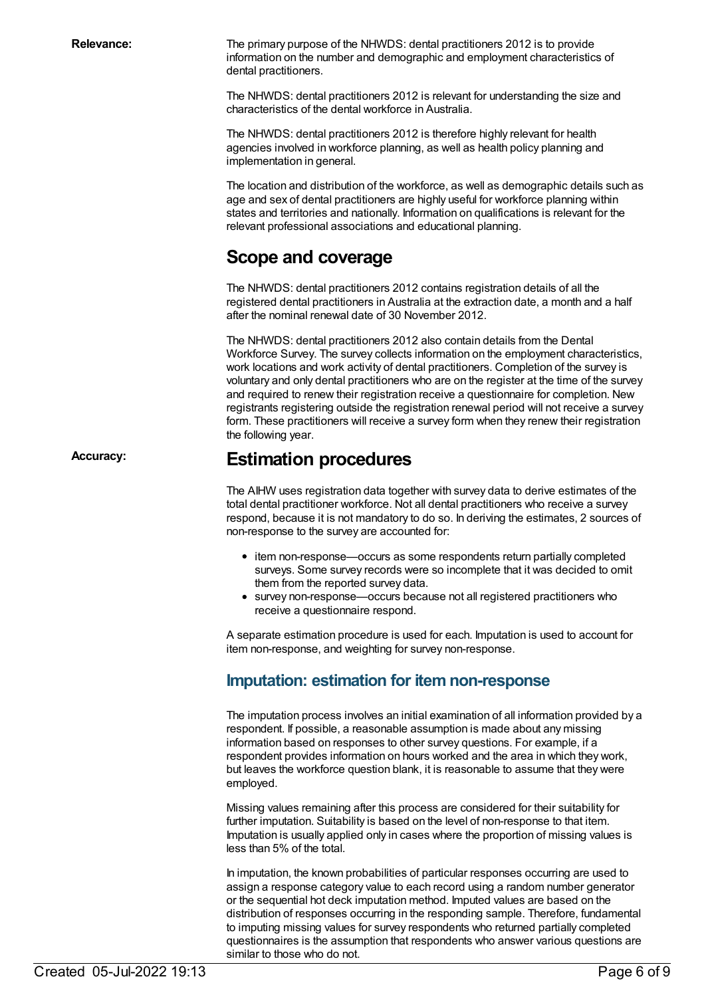**Relevance:** The primary purpose of the NHWDS: dental practitioners 2012 is to provide information on the number and demographic and employment characteristics of dental practitioners.

> The NHWDS: dental practitioners 2012 is relevant for understanding the size and characteristics of the dental workforce in Australia.

The NHWDS: dental practitioners 2012 is therefore highly relevant for health agencies involved in workforce planning, as well as health policy planning and implementation in general.

The location and distribution of the workforce, as well as demographic details such as age and sex of dental practitioners are highly useful for workforce planning within states and territories and nationally. Information on qualifications is relevant for the relevant professional associations and educational planning.

### **Scope and coverage**

The NHWDS: dental practitioners 2012 contains registration details of all the registered dental practitioners in Australia at the extraction date, a month and a half after the nominal renewal date of 30 November 2012.

The NHWDS: dental practitioners 2012 also contain details from the Dental Workforce Survey. The survey collects information on the employment characteristics, work locations and work activity of dental practitioners. Completion of the survey is voluntary and only dental practitioners who are on the register at the time of the survey and required to renew their registration receive a questionnaire for completion. New registrants registering outside the registration renewal period will not receive a survey form. These practitioners will receive a survey form when they renew their registration the following year.

# **Accuracy: Estimation procedures**

The AIHW uses registration data together with survey data to derive estimates of the total dental practitioner workforce. Not all dental practitioners who receive a survey respond, because it is not mandatory to do so. In deriving the estimates, 2 sources of non-response to the survey are accounted for:

- item non-response—occurs as some respondents return partially completed surveys. Some survey records were so incomplete that it was decided to omit them from the reported survey data.
- survey non-response—occurs because not all registered practitioners who receive a questionnaire respond.

A separate estimation procedure is used for each. Imputation is used to account for item non-response, and weighting for survey non-response.

### **Imputation: estimation for item non-response**

The imputation process involves an initial examination of all information provided by a respondent. If possible, a reasonable assumption is made about any missing information based on responses to other survey questions. For example, if a respondent provides information on hours worked and the area in which they work, but leaves the workforce question blank, it is reasonable to assume that they were employed.

Missing values remaining after this process are considered for their suitability for further imputation. Suitability is based on the level of non-response to that item. Imputation is usually applied only in cases where the proportion of missing values is less than 5% of the total.

In imputation, the known probabilities of particular responses occurring are used to assign a response category value to each record using a random number generator or the sequential hot deck imputation method. Imputed values are based on the distribution of responses occurring in the responding sample. Therefore, fundamental to imputing missing values for survey respondents who returned partially completed questionnaires is the assumption that respondents who answer various questions are similar to those who do not.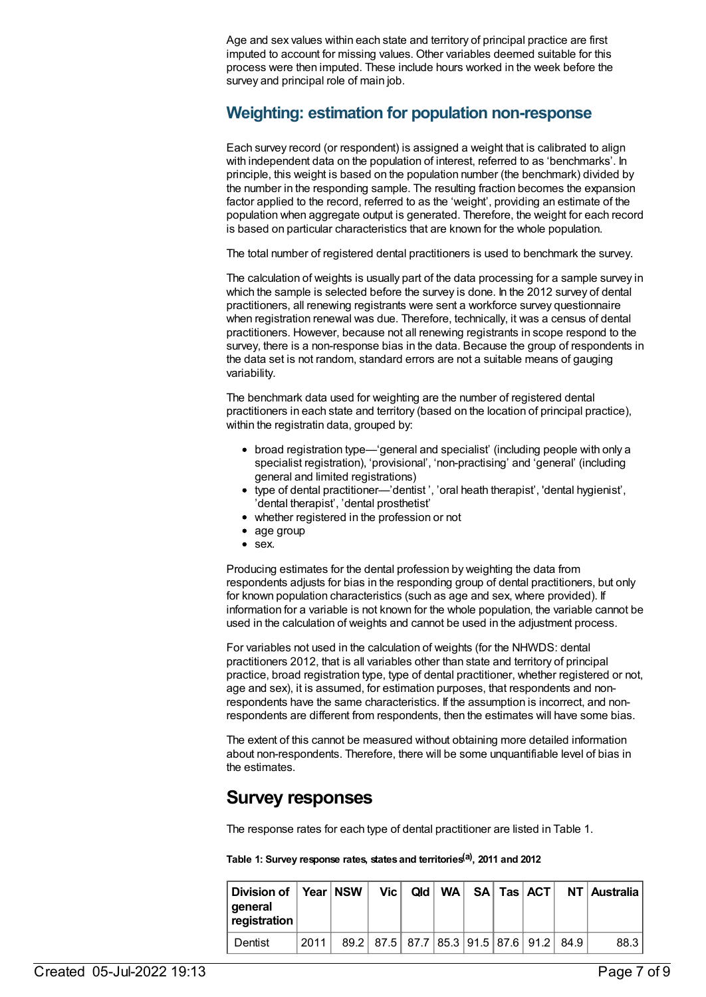Age and sex values within each state and territory of principal practice are first imputed to account for missing values. Other variables deemed suitable for this process were then imputed. These include hours worked in the week before the survey and principal role of main job.

### **Weighting: estimation for population non-response**

Each survey record (or respondent) is assigned a weight that is calibrated to align with independent data on the population of interest, referred to as 'benchmarks'. In principle, this weight is based on the population number (the benchmark) divided by the number in the responding sample. The resulting fraction becomes the expansion factor applied to the record, referred to as the 'weight', providing an estimate of the population when aggregate output is generated. Therefore, the weight for each record is based on particular characteristics that are known for the whole population.

The total number of registered dental practitioners is used to benchmark the survey.

The calculation of weights is usually part of the data processing for a sample survey in which the sample is selected before the survey is done. In the 2012 survey of dental practitioners, all renewing registrants were sent a workforce survey questionnaire when registration renewal was due. Therefore, technically, it was a census of dental practitioners. However, because not all renewing registrants in scope respond to the survey, there is a non-response bias in the data. Because the group of respondents in the data set is not random, standard errors are not a suitable means of gauging variability.

The benchmark data used for weighting are the number of registered dental practitioners in each state and territory (based on the location of principal practice), within the registratin data, grouped by:

- broad registration type—'general and specialist' (including people with only a specialist registration), 'provisional', 'non-practising' and 'general' (including general and limited registrations)
- type of dental practitioner—'dentist ', 'oral heath therapist', 'dental hygienist', 'dental therapist', 'dental prosthetist'
- whether registered in the profession or not
- age group
- sex.

Producing estimates for the dental profession by weighting the data from respondents adjusts for bias in the responding group of dental practitioners, but only for known population characteristics (such as age and sex, where provided). If information for a variable is not known for the whole population, the variable cannot be used in the calculation of weights and cannot be used in the adjustment process.

For variables not used in the calculation of weights (for the NHWDS: dental practitioners 2012, that is all variables other than state and territory of principal practice, broad registration type, type of dental practitioner, whether registered or not, age and sex), it is assumed, for estimation purposes, that respondents and nonrespondents have the same characteristics. If the assumption is incorrect, and nonrespondents are different from respondents, then the estimates will have some bias.

The extent of this cannot be measured without obtaining more detailed information about non-respondents. Therefore, there will be some unquantifiable level of bias in the estimates.

### **Survey responses**

The response rates for each type of dental practitioner are listed in Table 1.

**Table 1: Survey response rates, states and territories (a) , 2011 and 2012**

| Division of $\parallel$<br>qeneral<br>registration |      | ∣ Year   NSW | Vic                                     |  |  |  | Qld   WA   SA   Tas   ACT   NT   Australia |
|----------------------------------------------------|------|--------------|-----------------------------------------|--|--|--|--------------------------------------------|
| Dentist                                            | 2011 |              | 89.2 87.5 87.7 85.3 91.5 87.6 91.2 84.9 |  |  |  | 88.3                                       |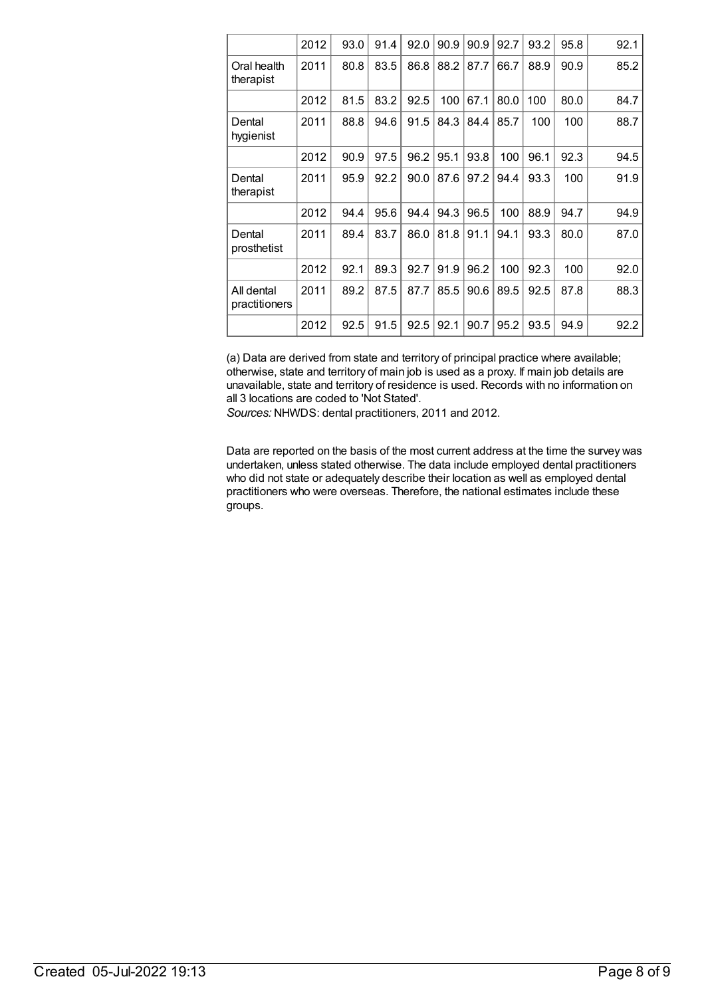|                             | 2012 | 93.0 | 91.4 | 92.0 | 90.9 | 90.9 | 92.7 | 93.2 | 95.8 | 92.1 |
|-----------------------------|------|------|------|------|------|------|------|------|------|------|
| Oral health<br>therapist    | 2011 | 80.8 | 83.5 | 86.8 | 88.2 | 87.7 | 66.7 | 88.9 | 90.9 | 85.2 |
|                             | 2012 | 81.5 | 83.2 | 92.5 | 100  | 67.1 | 80.0 | 100  | 80.0 | 84.7 |
| Dental<br>hygienist         | 2011 | 88.8 | 94.6 | 91.5 | 84.3 | 84.4 | 85.7 | 100  | 100  | 88.7 |
|                             | 2012 | 90.9 | 97.5 | 96.2 | 95.1 | 93.8 | 100  | 96.1 | 92.3 | 94.5 |
| Dental<br>therapist         | 2011 | 95.9 | 92.2 | 90.0 | 87.6 | 97.2 | 94.4 | 93.3 | 100  | 91.9 |
|                             | 2012 | 94.4 | 95.6 | 94.4 | 94.3 | 96.5 | 100  | 88.9 | 94.7 | 94.9 |
| Dental<br>prosthetist       | 2011 | 89.4 | 83.7 | 86.0 | 81.8 | 91.1 | 94.1 | 93.3 | 80.0 | 87.0 |
|                             | 2012 | 92.1 | 89.3 | 92.7 | 91.9 | 96.2 | 100  | 92.3 | 100  | 92.0 |
| All dental<br>practitioners | 2011 | 89.2 | 87.5 | 87.7 | 85.5 | 90.6 | 89.5 | 92.5 | 87.8 | 88.3 |
|                             | 2012 | 92.5 | 91.5 | 92.5 | 92.1 | 90.7 | 95.2 | 93.5 | 94.9 | 92.2 |

(a) Data are derived from state and territory of principal practice where available; otherwise, state and territory of main job is used as a proxy. If main job details are unavailable, state and territory of residence is used. Records with no information on all 3 locations are coded to 'Not Stated'.

*Sources:* NHWDS: dental practitioners, 2011 and 2012.

Data are reported on the basis of the most current address at the time the survey was undertaken, unless stated otherwise. The data include employed dental practitioners who did not state or adequately describe their location as well as employed dental practitioners who were overseas. Therefore, the national estimates include these groups.